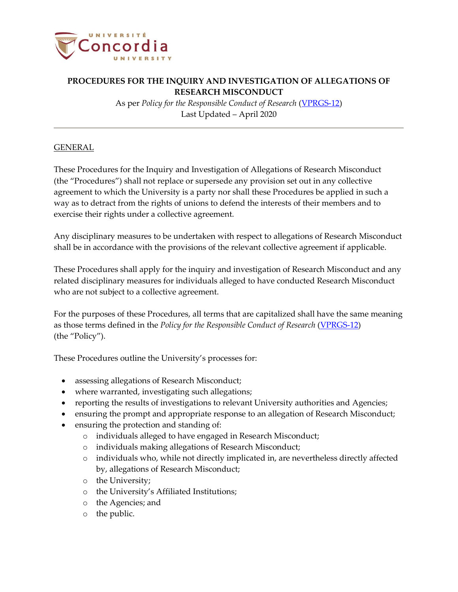

As per *Policy for the Responsible Conduct of Research* [\(VPRGS-12\)](https://www.concordia.ca/content/dam/common/docs/policies/official-policies/VPRGS-12.pdf) Last Updated – April 2020

### GENERAL

These Procedures for the Inquiry and Investigation of Allegations of Research Misconduct (the "Procedures") shall not replace or supersede any provision set out in any collective agreement to which the University is a party nor shall these Procedures be applied in such a way as to detract from the rights of unions to defend the interests of their members and to exercise their rights under a collective agreement.

Any disciplinary measures to be undertaken with respect to allegations of Research Misconduct shall be in accordance with the provisions of the relevant collective agreement if applicable.

These Procedures shall apply for the inquiry and investigation of Research Misconduct and any related disciplinary measures for individuals alleged to have conducted Research Misconduct who are not subject to a collective agreement.

For the purposes of these Procedures, all terms that are capitalized shall have the same meaning as those terms defined in the *Policy for the Responsible Conduct of Research* [\(VPRGS-12\)](https://www.concordia.ca/content/dam/common/docs/policies/official-policies/VPRGS-12.pdf) (the "Policy").

These Procedures outline the University's processes for:

- assessing allegations of Research Misconduct;
- where warranted, investigating such allegations;
- reporting the results of investigations to relevant University authorities and Agencies;
- ensuring the prompt and appropriate response to an allegation of Research Misconduct;
- ensuring the protection and standing of:
	- o individuals alleged to have engaged in Research Misconduct;
	- o individuals making allegations of Research Misconduct;
	- o individuals who, while not directly implicated in, are nevertheless directly affected by, allegations of Research Misconduct;
	- o the University;
	- o the University's Affiliated Institutions;
	- o the Agencies; and
	- o the public.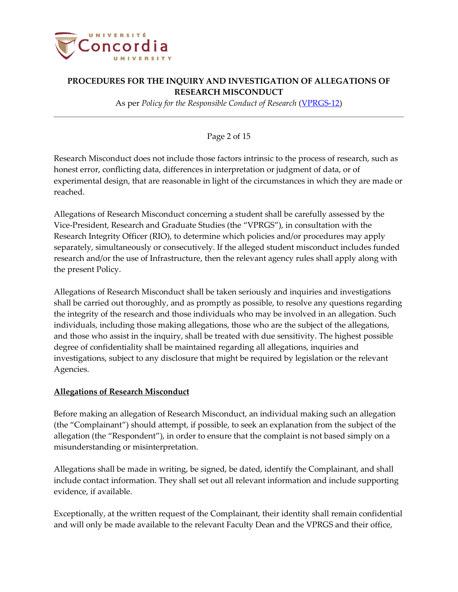

As per *Policy for the Responsible Conduct of Research* [\(VPRGS-12\)](https://www.concordia.ca/content/dam/common/docs/policies/official-policies/VPRGS-12.pdf)

### Page 2 of 15

Research Misconduct does not include those factors intrinsic to the process of research, such as honest error, conflicting data, differences in interpretation or judgment of data, or of experimental design, that are reasonable in light of the circumstances in which they are made or reached.

Allegations of Research Misconduct concerning a student shall be carefully assessed by the Vice-President, Research and Graduate Studies (the "VPRGS"), in consultation with the Research Integrity Officer (RIO), to determine which policies and/or procedures may apply separately, simultaneously or consecutively. If the alleged student misconduct includes funded research and/or the use of Infrastructure, then the relevant agency rules shall apply along with the present Policy.

Allegations of Research Misconduct shall be taken seriously and inquiries and investigations shall be carried out thoroughly, and as promptly as possible, to resolve any questions regarding the integrity of the research and those individuals who may be involved in an allegation. Such individuals, including those making allegations, those who are the subject of the allegations, and those who assist in the inquiry, shall be treated with due sensitivity. The highest possible degree of confidentiality shall be maintained regarding all allegations, inquiries and investigations, subject to any disclosure that might be required by legislation or the relevant Agencies.

#### **Allegations of Research Misconduct**

Before making an allegation of Research Misconduct, an individual making such an allegation (the "Complainant") should attempt, if possible, to seek an explanation from the subject of the allegation (the "Respondent"), in order to ensure that the complaint is not based simply on a misunderstanding or misinterpretation.

Allegations shall be made in writing, be signed, be dated, identify the Complainant, and shall include contact information. They shall set out all relevant information and include supporting evidence, if available.

Exceptionally, at the written request of the Complainant, their identity shall remain confidential and will only be made available to the relevant Faculty Dean and the VPRGS and their office,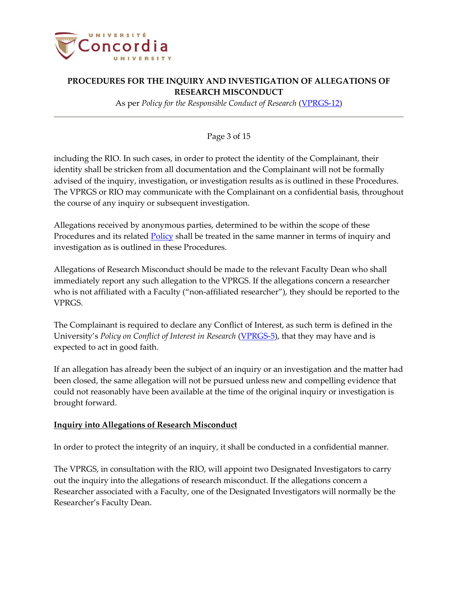

As per *Policy for the Responsible Conduct of Research* [\(VPRGS-12\)](https://www.concordia.ca/content/dam/common/docs/policies/official-policies/VPRGS-12.pdf)

### Page 3 of 15

including the RIO. In such cases, in order to protect the identity of the Complainant, their identity shall be stricken from all documentation and the Complainant will not be formally advised of the inquiry, investigation, or investigation results as is outlined in these Procedures. The VPRGS or RIO may communicate with the Complainant on a confidential basis, throughout the course of any inquiry or subsequent investigation.

Allegations received by anonymous parties, determined to be within the scope of these Procedures and its related [Policy](http://www.concordia.ca/content/dam/common/docs/policies/official-policies/VPRGS-12.pdf) shall be treated in the same manner in terms of inquiry and investigation as is outlined in these Procedures.

Allegations of Research Misconduct should be made to the relevant Faculty Dean who shall immediately report any such allegation to the VPRGS. If the allegations concern a researcher who is not affiliated with a Faculty ("non-affiliated researcher"), they should be reported to the VPRGS.

The Complainant is required to declare any Conflict of Interest, as such term is defined in the University's *Policy on Conflict of Interest in Research* [\(VPRGS-5\)](http://www.concordia.ca/content/dam/common/docs/policies/official-policies/VPRGS-5.pdf), that they may have and is expected to act in good faith.

If an allegation has already been the subject of an inquiry or an investigation and the matter had been closed, the same allegation will not be pursued unless new and compelling evidence that could not reasonably have been available at the time of the original inquiry or investigation is brought forward.

#### **Inquiry into Allegations of Research Misconduct**

In order to protect the integrity of an inquiry, it shall be conducted in a confidential manner.

The VPRGS, in consultation with the RIO, will appoint two Designated Investigators to carry out the inquiry into the allegations of research misconduct. If the allegations concern a Researcher associated with a Faculty, one of the Designated Investigators will normally be the Researcher's Faculty Dean.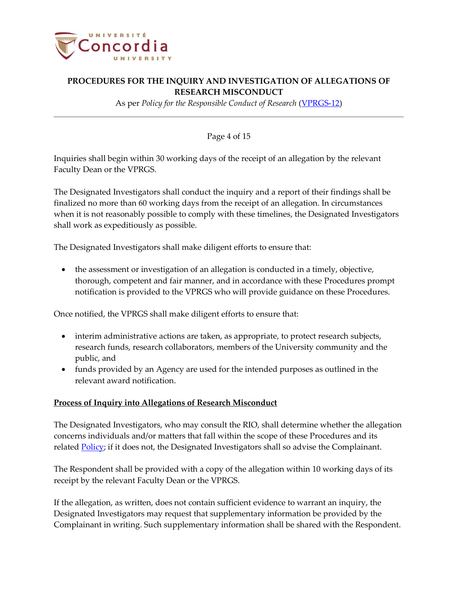

As per *Policy for the Responsible Conduct of Research* [\(VPRGS-12\)](https://www.concordia.ca/content/dam/common/docs/policies/official-policies/VPRGS-12.pdf)

### Page 4 of 15

Inquiries shall begin within 30 working days of the receipt of an allegation by the relevant Faculty Dean or the VPRGS.

The Designated Investigators shall conduct the inquiry and a report of their findings shall be finalized no more than 60 working days from the receipt of an allegation. In circumstances when it is not reasonably possible to comply with these timelines, the Designated Investigators shall work as expeditiously as possible.

The Designated Investigators shall make diligent efforts to ensure that:

• the assessment or investigation of an allegation is conducted in a timely, objective, thorough, competent and fair manner, and in accordance with these Procedures prompt notification is provided to the VPRGS who will provide guidance on these Procedures.

Once notified, the VPRGS shall make diligent efforts to ensure that:

- interim administrative actions are taken, as appropriate, to protect research subjects, research funds, research collaborators, members of the University community and the public, and
- funds provided by an Agency are used for the intended purposes as outlined in the relevant award notification.

### **Process of Inquiry into Allegations of Research Misconduct**

The Designated Investigators, who may consult the RIO, shall determine whether the allegation concerns individuals and/or matters that fall within the scope of these Procedures and its related **Policy**; if it does not, the Designated Investigators shall so advise the Complainant.

The Respondent shall be provided with a copy of the allegation within 10 working days of its receipt by the relevant Faculty Dean or the VPRGS.

If the allegation, as written, does not contain sufficient evidence to warrant an inquiry, the Designated Investigators may request that supplementary information be provided by the Complainant in writing. Such supplementary information shall be shared with the Respondent.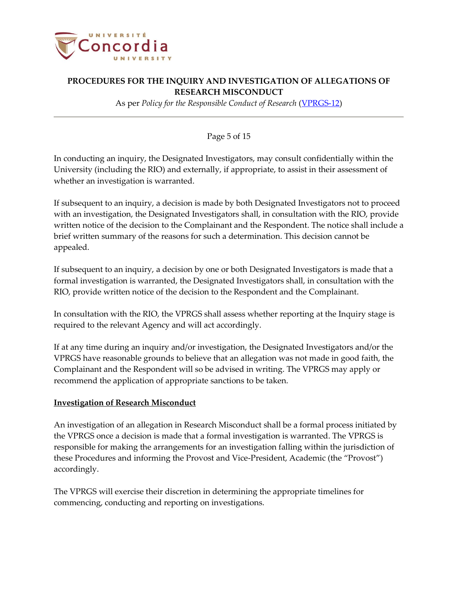

As per *Policy for the Responsible Conduct of Research* [\(VPRGS-12\)](https://www.concordia.ca/content/dam/common/docs/policies/official-policies/VPRGS-12.pdf)

### Page 5 of 15

In conducting an inquiry, the Designated Investigators, may consult confidentially within the University (including the RIO) and externally, if appropriate, to assist in their assessment of whether an investigation is warranted.

If subsequent to an inquiry, a decision is made by both Designated Investigators not to proceed with an investigation, the Designated Investigators shall, in consultation with the RIO, provide written notice of the decision to the Complainant and the Respondent. The notice shall include a brief written summary of the reasons for such a determination. This decision cannot be appealed.

If subsequent to an inquiry, a decision by one or both Designated Investigators is made that a formal investigation is warranted, the Designated Investigators shall, in consultation with the RIO, provide written notice of the decision to the Respondent and the Complainant.

In consultation with the RIO, the VPRGS shall assess whether reporting at the Inquiry stage is required to the relevant Agency and will act accordingly.

If at any time during an inquiry and/or investigation, the Designated Investigators and/or the VPRGS have reasonable grounds to believe that an allegation was not made in good faith, the Complainant and the Respondent will so be advised in writing. The VPRGS may apply or recommend the application of appropriate sanctions to be taken.

#### **Investigation of Research Misconduct**

An investigation of an allegation in Research Misconduct shall be a formal process initiated by the VPRGS once a decision is made that a formal investigation is warranted. The VPRGS is responsible for making the arrangements for an investigation falling within the jurisdiction of these Procedures and informing the Provost and Vice-President, Academic (the "Provost") accordingly.

The VPRGS will exercise their discretion in determining the appropriate timelines for commencing, conducting and reporting on investigations.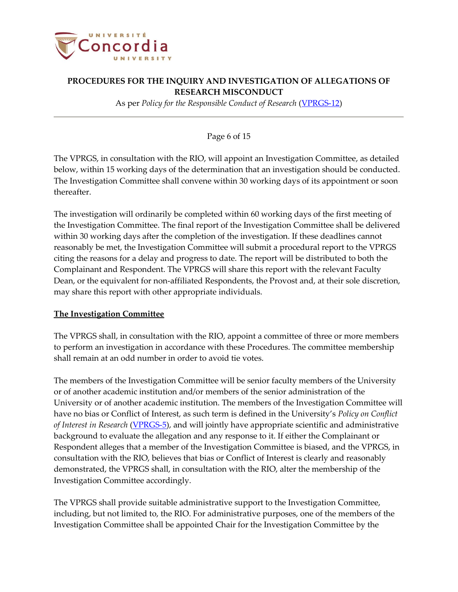

As per *Policy for the Responsible Conduct of Research* [\(VPRGS-12\)](https://www.concordia.ca/content/dam/common/docs/policies/official-policies/VPRGS-12.pdf)

#### Page 6 of 15

The VPRGS, in consultation with the RIO, will appoint an Investigation Committee, as detailed below, within 15 working days of the determination that an investigation should be conducted. The Investigation Committee shall convene within 30 working days of its appointment or soon thereafter.

The investigation will ordinarily be completed within 60 working days of the first meeting of the Investigation Committee. The final report of the Investigation Committee shall be delivered within 30 working days after the completion of the investigation. If these deadlines cannot reasonably be met, the Investigation Committee will submit a procedural report to the VPRGS citing the reasons for a delay and progress to date. The report will be distributed to both the Complainant and Respondent. The VPRGS will share this report with the relevant Faculty Dean, or the equivalent for non-affiliated Respondents, the Provost and, at their sole discretion, may share this report with other appropriate individuals.

#### **The Investigation Committee**

The VPRGS shall, in consultation with the RIO, appoint a committee of three or more members to perform an investigation in accordance with these Procedures. The committee membership shall remain at an odd number in order to avoid tie votes.

The members of the Investigation Committee will be senior faculty members of the University or of another academic institution and/or members of the senior administration of the University or of another academic institution. The members of the Investigation Committee will have no bias or Conflict of Interest, as such term is defined in the University's *Policy on Conflict of Interest in Research* [\(VPRGS-5\)](http://www.concordia.ca/content/dam/common/docs/policies/official-policies/VPRGS-5.pdf), and will jointly have appropriate scientific and administrative background to evaluate the allegation and any response to it. If either the Complainant or Respondent alleges that a member of the Investigation Committee is biased, and the VPRGS, in consultation with the RIO, believes that bias or Conflict of Interest is clearly and reasonably demonstrated, the VPRGS shall, in consultation with the RIO, alter the membership of the Investigation Committee accordingly.

The VPRGS shall provide suitable administrative support to the Investigation Committee, including, but not limited to, the RIO. For administrative purposes, one of the members of the Investigation Committee shall be appointed Chair for the Investigation Committee by the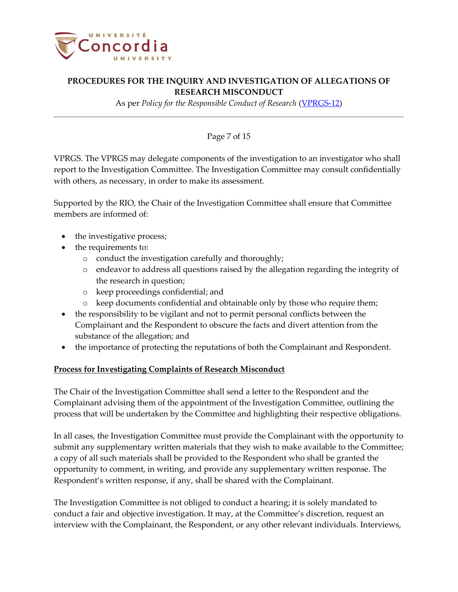

As per *Policy for the Responsible Conduct of Research* [\(VPRGS-12\)](https://www.concordia.ca/content/dam/common/docs/policies/official-policies/VPRGS-12.pdf)

### Page 7 of 15

VPRGS. The VPRGS may delegate components of the investigation to an investigator who shall report to the Investigation Committee. The Investigation Committee may consult confidentially with others, as necessary, in order to make its assessment.

Supported by the RIO, the Chair of the Investigation Committee shall ensure that Committee members are informed of:

- the investigative process;
- the requirements to:
	- o conduct the investigation carefully and thoroughly;
	- endeavor to address all questions raised by the allegation regarding the integrity of the research in question;
	- o keep proceedings confidential; and
	- o keep documents confidential and obtainable only by those who require them;
- the responsibility to be vigilant and not to permit personal conflicts between the Complainant and the Respondent to obscure the facts and divert attention from the substance of the allegation; and
- the importance of protecting the reputations of both the Complainant and Respondent.

#### **Process for Investigating Complaints of Research Misconduct**

The Chair of the Investigation Committee shall send a letter to the Respondent and the Complainant advising them of the appointment of the Investigation Committee, outlining the process that will be undertaken by the Committee and highlighting their respective obligations.

In all cases, the Investigation Committee must provide the Complainant with the opportunity to submit any supplementary written materials that they wish to make available to the Committee; a copy of all such materials shall be provided to the Respondent who shall be granted the opportunity to comment, in writing, and provide any supplementary written response. The Respondent's written response, if any, shall be shared with the Complainant.

The Investigation Committee is not obliged to conduct a hearing; it is solely mandated to conduct a fair and objective investigation. It may, at the Committee's discretion, request an interview with the Complainant, the Respondent, or any other relevant individuals. Interviews,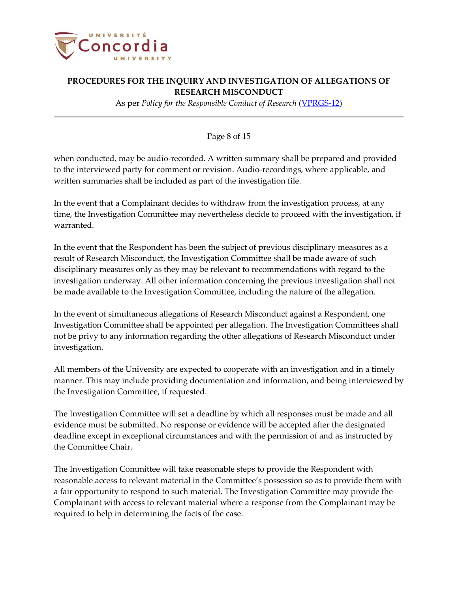

As per *Policy for the Responsible Conduct of Research* [\(VPRGS-12\)](https://www.concordia.ca/content/dam/common/docs/policies/official-policies/VPRGS-12.pdf)

#### Page 8 of 15

when conducted, may be audio-recorded. A written summary shall be prepared and provided to the interviewed party for comment or revision. Audio-recordings, where applicable, and written summaries shall be included as part of the investigation file.

In the event that a Complainant decides to withdraw from the investigation process, at any time, the Investigation Committee may nevertheless decide to proceed with the investigation, if warranted.

In the event that the Respondent has been the subject of previous disciplinary measures as a result of Research Misconduct, the Investigation Committee shall be made aware of such disciplinary measures only as they may be relevant to recommendations with regard to the investigation underway. All other information concerning the previous investigation shall not be made available to the Investigation Committee, including the nature of the allegation.

In the event of simultaneous allegations of Research Misconduct against a Respondent, one Investigation Committee shall be appointed per allegation. The Investigation Committees shall not be privy to any information regarding the other allegations of Research Misconduct under investigation.

All members of the University are expected to cooperate with an investigation and in a timely manner. This may include providing documentation and information, and being interviewed by the Investigation Committee, if requested.

The Investigation Committee will set a deadline by which all responses must be made and all evidence must be submitted. No response or evidence will be accepted after the designated deadline except in exceptional circumstances and with the permission of and as instructed by the Committee Chair.

The Investigation Committee will take reasonable steps to provide the Respondent with reasonable access to relevant material in the Committee's possession so as to provide them with a fair opportunity to respond to such material. The Investigation Committee may provide the Complainant with access to relevant material where a response from the Complainant may be required to help in determining the facts of the case.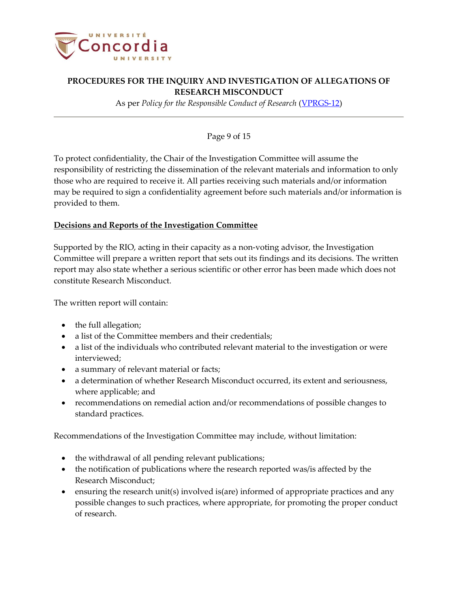

As per *Policy for the Responsible Conduct of Research* [\(VPRGS-12\)](https://www.concordia.ca/content/dam/common/docs/policies/official-policies/VPRGS-12.pdf)

### Page 9 of 15

To protect confidentiality, the Chair of the Investigation Committee will assume the responsibility of restricting the dissemination of the relevant materials and information to only those who are required to receive it. All parties receiving such materials and/or information may be required to sign a confidentiality agreement before such materials and/or information is provided to them.

#### **Decisions and Reports of the Investigation Committee**

Supported by the RIO, acting in their capacity as a non-voting advisor, the Investigation Committee will prepare a written report that sets out its findings and its decisions. The written report may also state whether a serious scientific or other error has been made which does not constitute Research Misconduct.

The written report will contain:

- the full allegation;
- a list of the Committee members and their credentials;
- a list of the individuals who contributed relevant material to the investigation or were interviewed;
- a summary of relevant material or facts;
- a determination of whether Research Misconduct occurred, its extent and seriousness, where applicable; and
- recommendations on remedial action and/or recommendations of possible changes to standard practices.

Recommendations of the Investigation Committee may include, without limitation:

- the withdrawal of all pending relevant publications;
- the notification of publications where the research reported was/is affected by the Research Misconduct;
- ensuring the research unit(s) involved is(are) informed of appropriate practices and any possible changes to such practices, where appropriate, for promoting the proper conduct of research.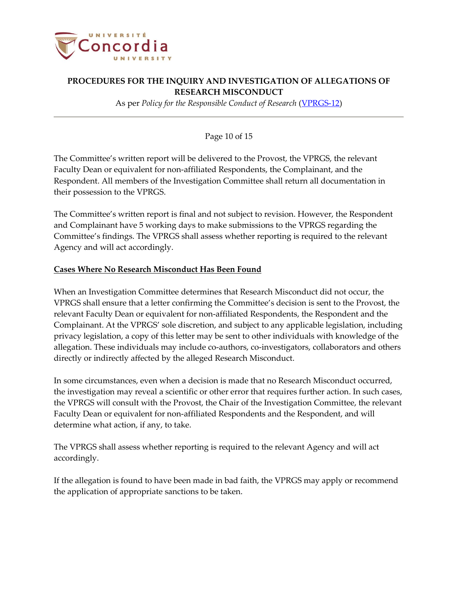

As per *Policy for the Responsible Conduct of Research* [\(VPRGS-12\)](https://www.concordia.ca/content/dam/common/docs/policies/official-policies/VPRGS-12.pdf)

### Page 10 of 15

The Committee's written report will be delivered to the Provost, the VPRGS, the relevant Faculty Dean or equivalent for non-affiliated Respondents, the Complainant, and the Respondent. All members of the Investigation Committee shall return all documentation in their possession to the VPRGS.

The Committee's written report is final and not subject to revision. However, the Respondent and Complainant have 5 working days to make submissions to the VPRGS regarding the Committee's findings. The VPRGS shall assess whether reporting is required to the relevant Agency and will act accordingly.

#### **Cases Where No Research Misconduct Has Been Found**

When an Investigation Committee determines that Research Misconduct did not occur, the VPRGS shall ensure that a letter confirming the Committee's decision is sent to the Provost, the relevant Faculty Dean or equivalent for non-affiliated Respondents, the Respondent and the Complainant. At the VPRGS' sole discretion, and subject to any applicable legislation, including privacy legislation, a copy of this letter may be sent to other individuals with knowledge of the allegation. These individuals may include co-authors, co-investigators, collaborators and others directly or indirectly affected by the alleged Research Misconduct.

In some circumstances, even when a decision is made that no Research Misconduct occurred, the investigation may reveal a scientific or other error that requires further action. In such cases, the VPRGS will consult with the Provost, the Chair of the Investigation Committee, the relevant Faculty Dean or equivalent for non-affiliated Respondents and the Respondent, and will determine what action, if any, to take.

The VPRGS shall assess whether reporting is required to the relevant Agency and will act accordingly.

If the allegation is found to have been made in bad faith, the VPRGS may apply or recommend the application of appropriate sanctions to be taken.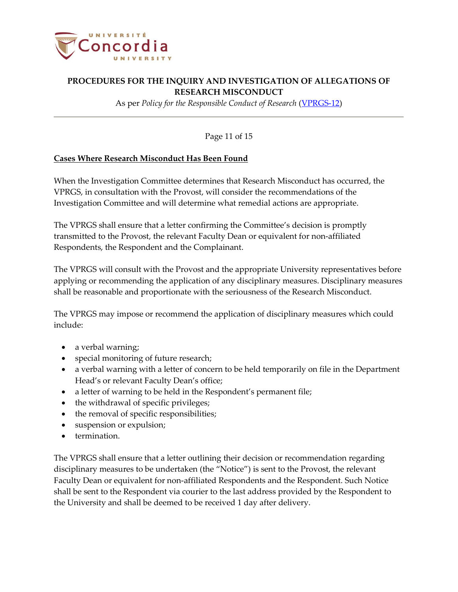

As per *Policy for the Responsible Conduct of Research* [\(VPRGS-12\)](https://www.concordia.ca/content/dam/common/docs/policies/official-policies/VPRGS-12.pdf)

Page 11 of 15

#### **Cases Where Research Misconduct Has Been Found**

When the Investigation Committee determines that Research Misconduct has occurred, the VPRGS, in consultation with the Provost, will consider the recommendations of the Investigation Committee and will determine what remedial actions are appropriate.

The VPRGS shall ensure that a letter confirming the Committee's decision is promptly transmitted to the Provost, the relevant Faculty Dean or equivalent for non-affiliated Respondents, the Respondent and the Complainant.

The VPRGS will consult with the Provost and the appropriate University representatives before applying or recommending the application of any disciplinary measures. Disciplinary measures shall be reasonable and proportionate with the seriousness of the Research Misconduct.

The VPRGS may impose or recommend the application of disciplinary measures which could include:

- a verbal warning;
- special monitoring of future research;
- a verbal warning with a letter of concern to be held temporarily on file in the Department Head's or relevant Faculty Dean's office;
- a letter of warning to be held in the Respondent's permanent file;
- the withdrawal of specific privileges;
- the removal of specific responsibilities;
- suspension or expulsion;
- termination.

The VPRGS shall ensure that a letter outlining their decision or recommendation regarding disciplinary measures to be undertaken (the "Notice") is sent to the Provost, the relevant Faculty Dean or equivalent for non-affiliated Respondents and the Respondent. Such Notice shall be sent to the Respondent via courier to the last address provided by the Respondent to the University and shall be deemed to be received 1 day after delivery.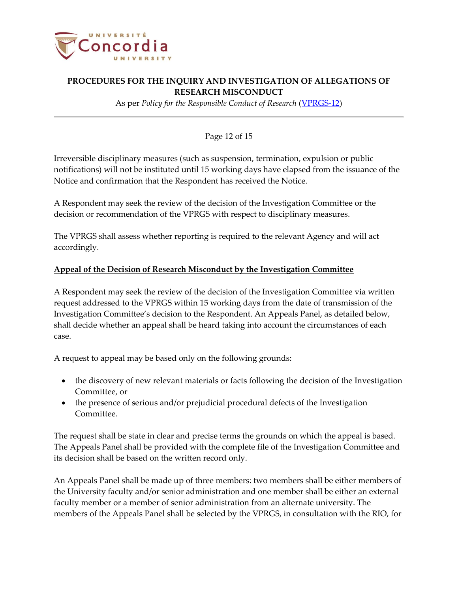

As per *Policy for the Responsible Conduct of Research* [\(VPRGS-12\)](https://www.concordia.ca/content/dam/common/docs/policies/official-policies/VPRGS-12.pdf)

### Page 12 of 15

Irreversible disciplinary measures (such as suspension, termination, expulsion or public notifications) will not be instituted until 15 working days have elapsed from the issuance of the Notice and confirmation that the Respondent has received the Notice.

A Respondent may seek the review of the decision of the Investigation Committee or the decision or recommendation of the VPRGS with respect to disciplinary measures.

The VPRGS shall assess whether reporting is required to the relevant Agency and will act accordingly.

### **Appeal of the Decision of Research Misconduct by the Investigation Committee**

A Respondent may seek the review of the decision of the Investigation Committee via written request addressed to the VPRGS within 15 working days from the date of transmission of the Investigation Committee's decision to the Respondent. An Appeals Panel, as detailed below, shall decide whether an appeal shall be heard taking into account the circumstances of each case.

A request to appeal may be based only on the following grounds:

- the discovery of new relevant materials or facts following the decision of the Investigation Committee, or
- the presence of serious and/or prejudicial procedural defects of the Investigation Committee.

The request shall be state in clear and precise terms the grounds on which the appeal is based. The Appeals Panel shall be provided with the complete file of the Investigation Committee and its decision shall be based on the written record only.

An Appeals Panel shall be made up of three members: two members shall be either members of the University faculty and/or senior administration and one member shall be either an external faculty member or a member of senior administration from an alternate university. The members of the Appeals Panel shall be selected by the VPRGS, in consultation with the RIO, for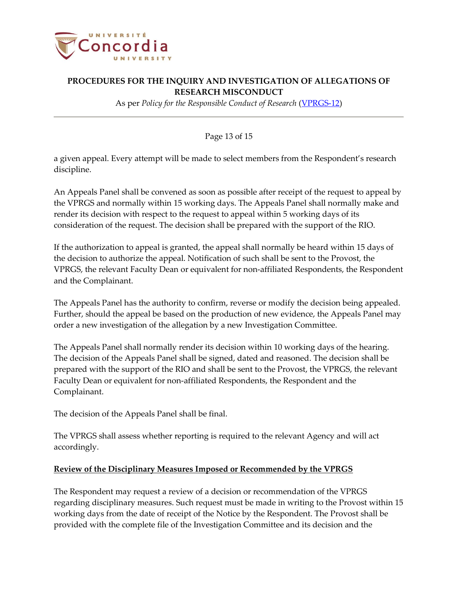

As per *Policy for the Responsible Conduct of Research* [\(VPRGS-12\)](https://www.concordia.ca/content/dam/common/docs/policies/official-policies/VPRGS-12.pdf)

Page 13 of 15

a given appeal. Every attempt will be made to select members from the Respondent's research discipline.

An Appeals Panel shall be convened as soon as possible after receipt of the request to appeal by the VPRGS and normally within 15 working days. The Appeals Panel shall normally make and render its decision with respect to the request to appeal within 5 working days of its consideration of the request. The decision shall be prepared with the support of the RIO.

If the authorization to appeal is granted, the appeal shall normally be heard within 15 days of the decision to authorize the appeal. Notification of such shall be sent to the Provost, the VPRGS, the relevant Faculty Dean or equivalent for non-affiliated Respondents, the Respondent and the Complainant.

The Appeals Panel has the authority to confirm, reverse or modify the decision being appealed. Further, should the appeal be based on the production of new evidence, the Appeals Panel may order a new investigation of the allegation by a new Investigation Committee.

The Appeals Panel shall normally render its decision within 10 working days of the hearing. The decision of the Appeals Panel shall be signed, dated and reasoned. The decision shall be prepared with the support of the RIO and shall be sent to the Provost, the VPRGS, the relevant Faculty Dean or equivalent for non-affiliated Respondents, the Respondent and the Complainant.

The decision of the Appeals Panel shall be final.

The VPRGS shall assess whether reporting is required to the relevant Agency and will act accordingly.

#### **Review of the Disciplinary Measures Imposed or Recommended by the VPRGS**

The Respondent may request a review of a decision or recommendation of the VPRGS regarding disciplinary measures. Such request must be made in writing to the Provost within 15 working days from the date of receipt of the Notice by the Respondent. The Provost shall be provided with the complete file of the Investigation Committee and its decision and the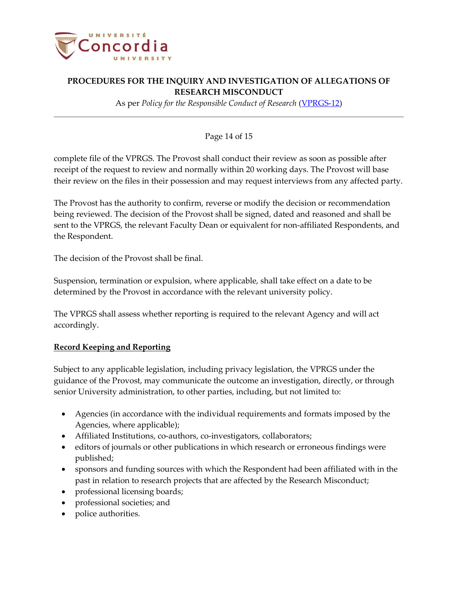

As per *Policy for the Responsible Conduct of Research* [\(VPRGS-12\)](https://www.concordia.ca/content/dam/common/docs/policies/official-policies/VPRGS-12.pdf)

### Page 14 of 15

complete file of the VPRGS. The Provost shall conduct their review as soon as possible after receipt of the request to review and normally within 20 working days. The Provost will base their review on the files in their possession and may request interviews from any affected party.

The Provost has the authority to confirm, reverse or modify the decision or recommendation being reviewed. The decision of the Provost shall be signed, dated and reasoned and shall be sent to the VPRGS, the relevant Faculty Dean or equivalent for non-affiliated Respondents, and the Respondent.

The decision of the Provost shall be final.

Suspension, termination or expulsion, where applicable, shall take effect on a date to be determined by the Provost in accordance with the relevant university policy.

The VPRGS shall assess whether reporting is required to the relevant Agency and will act accordingly.

#### **Record Keeping and Reporting**

Subject to any applicable legislation, including privacy legislation, the VPRGS under the guidance of the Provost, may communicate the outcome an investigation, directly, or through senior University administration, to other parties, including, but not limited to:

- Agencies (in accordance with the individual requirements and formats imposed by the Agencies, where applicable);
- Affiliated Institutions, co-authors, co-investigators, collaborators;
- editors of journals or other publications in which research or erroneous findings were published;
- sponsors and funding sources with which the Respondent had been affiliated with in the past in relation to research projects that are affected by the Research Misconduct;
- professional licensing boards;
- professional societies; and
- police authorities.